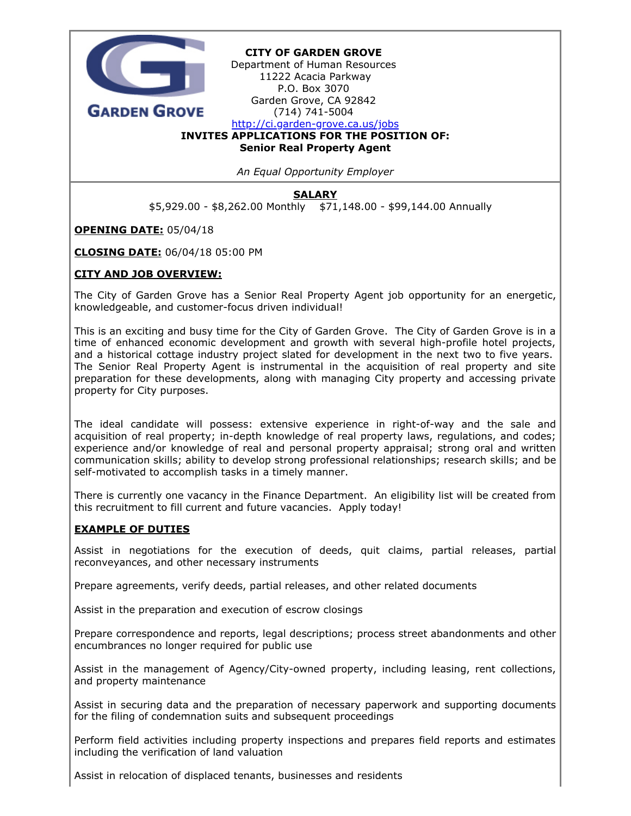

An Equal Opportunity Employer

**SALARY** 

\$5,929.00 - \$8,262.00 Monthly \$71,148.00 - \$99,144.00 Annually

OPENING DATE: 05/04/18

CLOSING DATE: 06/04/18 05:00 PM

# CITY AND JOB OVERVIEW:

The City of Garden Grove has a Senior Real Property Agent job opportunity for an energetic, knowledgeable, and customer-focus driven individual!

This is an exciting and busy time for the City of Garden Grove. The City of Garden Grove is in a time of enhanced economic development and growth with several high-profile hotel projects, and a historical cottage industry project slated for development in the next two to five years. The Senior Real Property Agent is instrumental in the acquisition of real property and site preparation for these developments, along with managing City property and accessing private property for City purposes.

The ideal candidate will possess: extensive experience in right-of-way and the sale and acquisition of real property; in-depth knowledge of real property laws, regulations, and codes; experience and/or knowledge of real and personal property appraisal; strong oral and written communication skills; ability to develop strong professional relationships; research skills; and be self-motivated to accomplish tasks in a timely manner.

There is currently one vacancy in the Finance Department. An eligibility list will be created from this recruitment to fill current and future vacancies. Apply today!

#### EXAMPLE OF DUTIES

Assist in negotiations for the execution of deeds, quit claims, partial releases, partial reconveyances, and other necessary instruments

Prepare agreements, verify deeds, partial releases, and other related documents

Assist in the preparation and execution of escrow closings

Prepare correspondence and reports, legal descriptions; process street abandonments and other encumbrances no longer required for public use

Assist in the management of Agency/City-owned property, including leasing, rent collections, and property maintenance

Assist in securing data and the preparation of necessary paperwork and supporting documents for the filing of condemnation suits and subsequent proceedings

Perform field activities including property inspections and prepares field reports and estimates including the verification of land valuation

Assist in relocation of displaced tenants, businesses and residents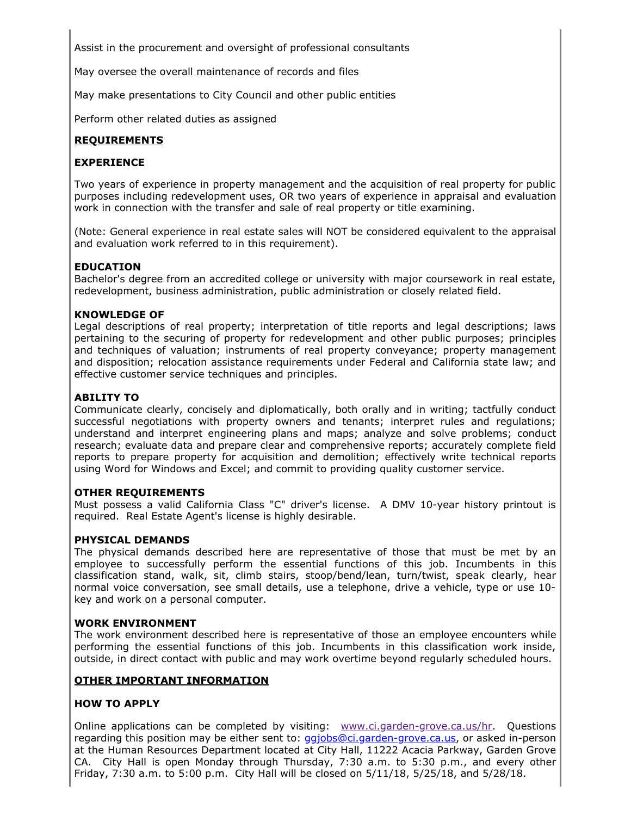Assist in the procurement and oversight of professional consultants

May oversee the overall maintenance of records and files

May make presentations to City Council and other public entities

Perform other related duties as assigned

# REQUIREMENTS

# EXPERIENCE

Two years of experience in property management and the acquisition of real property for public purposes including redevelopment uses, OR two years of experience in appraisal and evaluation work in connection with the transfer and sale of real property or title examining.

(Note: General experience in real estate sales will NOT be considered equivalent to the appraisal and evaluation work referred to in this requirement).

### EDUCATION

Bachelor's degree from an accredited college or university with major coursework in real estate, redevelopment, business administration, public administration or closely related field.

#### KNOWLEDGE OF

Legal descriptions of real property; interpretation of title reports and legal descriptions; laws pertaining to the securing of property for redevelopment and other public purposes; principles and techniques of valuation; instruments of real property conveyance; property management and disposition; relocation assistance requirements under Federal and California state law; and effective customer service techniques and principles.

### ABILITY TO

Communicate clearly, concisely and diplomatically, both orally and in writing; tactfully conduct successful negotiations with property owners and tenants; interpret rules and regulations; understand and interpret engineering plans and maps; analyze and solve problems; conduct research; evaluate data and prepare clear and comprehensive reports; accurately complete field reports to prepare property for acquisition and demolition; effectively write technical reports using Word for Windows and Excel; and commit to providing quality customer service.

#### OTHER REQUIREMENTS

Must possess a valid California Class "C" driver's license. A DMV 10-year history printout is required. Real Estate Agent's license is highly desirable.

# PHYSICAL DEMANDS

The physical demands described here are representative of those that must be met by an employee to successfully perform the essential functions of this job. Incumbents in this classification stand, walk, sit, climb stairs, stoop/bend/lean, turn/twist, speak clearly, hear normal voice conversation, see small details, use a telephone, drive a vehicle, type or use 10 key and work on a personal computer.

#### WORK ENVIRONMENT

The work environment described here is representative of those an employee encounters while performing the essential functions of this job. Incumbents in this classification work inside, outside, in direct contact with public and may work overtime beyond regularly scheduled hours.

#### OTHER IMPORTANT INFORMATION

### HOW TO APPLY

Online applications can be completed by visiting: [www.ci.garden-grove.ca.us/hr](http://www.ci.garden-grove.ca.us/hr). Questions regarding this position may be either sent to: [ggjobs@ci.garden-grove.ca.us](mailto:ggjobs@ci.garden-grove.ca.us), or asked in-person at the Human Resources Department located at City Hall, 11222 Acacia Parkway, Garden Grove CA. City Hall is open Monday through Thursday, 7:30 a.m. to 5:30 p.m., and every other Friday, 7:30 a.m. to 5:00 p.m. City Hall will be closed on 5/11/18, 5/25/18, and 5/28/18.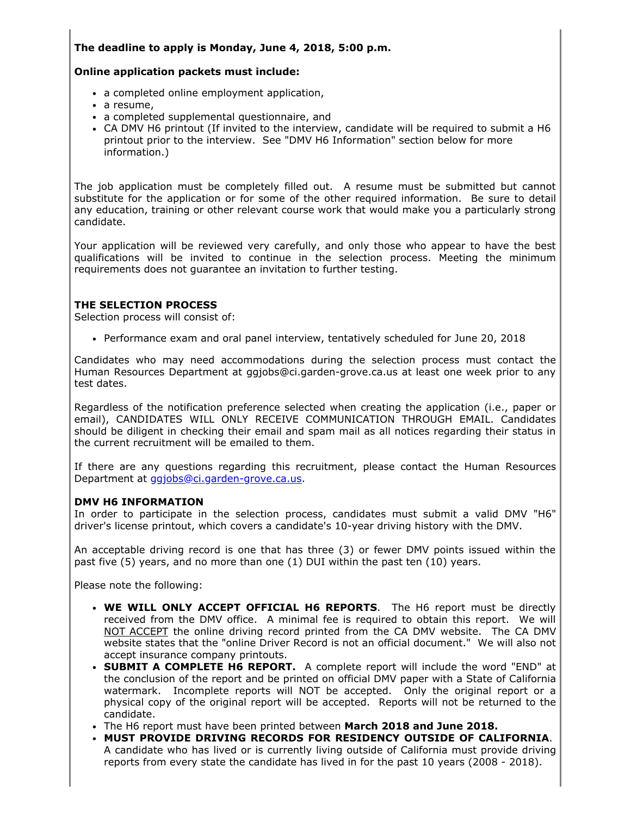# The deadline to apply is Monday, June 4, 2018, 5:00 p.m.

## Online application packets must include:

- a completed online employment application,
- a resume,
- a completed supplemental questionnaire, and
- CA DMV H6 printout (If invited to the interview, candidate will be required to submit a H6 printout prior to the interview. See "DMV H6 Information" section below for more information.)

The job application must be completely filled out. A resume must be submitted but cannot substitute for the application or for some of the other required information. Be sure to detail any education, training or other relevant course work that would make you a particularly strong candidate.

Your application will be reviewed very carefully, and only those who appear to have the best qualifications will be invited to continue in the selection process. Meeting the minimum requirements does not guarantee an invitation to further testing.

# THE SELECTION PROCESS

Selection process will consist of:

Performance exam and oral panel interview, tentatively scheduled for June 20, 2018

Candidates who may need accommodations during the selection process must contact the Human Resources Department at ggjobs@ci.garden-grove.ca.us at least one week prior to any test dates.

Regardless of the notification preference selected when creating the application (i.e., paper or email), CANDIDATES WILL ONLY RECEIVE COMMUNICATION THROUGH EMAIL. Candidates should be diligent in checking their email and spam mail as all notices regarding their status in the current recruitment will be emailed to them.

If there are any questions regarding this recruitment, please contact the Human Resources Department at [ggjobs@ci.garden-grove.ca.us](mailto:ggjobs@ci.garden-grove.ca.us).

# DMV H6 INFORMATION

In order to participate in the selection process, candidates must submit a valid DMV "H6" driver's license printout, which covers a candidate's 10-year driving history with the DMV.

An acceptable driving record is one that has three (3) or fewer DMV points issued within the past five (5) years, and no more than one (1) DUI within the past ten (10) years.

Please note the following:

- WE WILL ONLY ACCEPT OFFICIAL H6 REPORTS. The H6 report must be directly received from the DMV office. A minimal fee is required to obtain this report. We will NOT ACCEPT the online driving record printed from the CA DMV website. The CA DMV website states that the "online Driver Record is not an official document." We will also not accept insurance company printouts.
- SUBMIT A COMPLETE H6 REPORT. A complete report will include the word "END" at the conclusion of the report and be printed on official DMV paper with a State of California watermark. Incomplete reports will NOT be accepted. Only the original report or a physical copy of the original report will be accepted. Reports will not be returned to the candidate.
- The H6 report must have been printed between March 2018 and June 2018.
- MUST PROVIDE DRIVING RECORDS FOR RESIDENCY OUTSIDE OF CALIFORNIA. A candidate who has lived or is currently living outside of California must provide driving reports from every state the candidate has lived in for the past 10 years (2008 - 2018).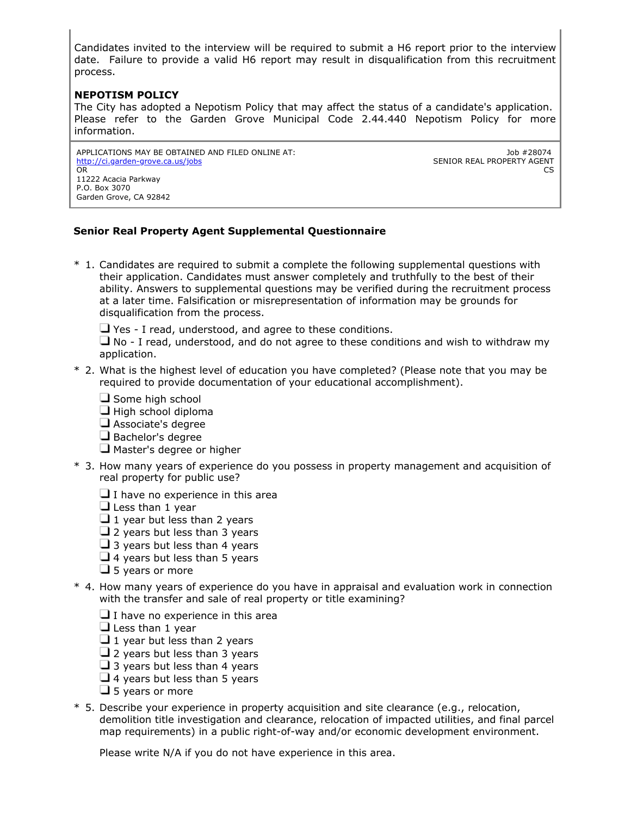Candidates invited to the interview will be required to submit a H6 report prior to the interview date. Failure to provide a valid H6 report may result in disqualification from this recruitment process.

# NEPOTISM POLICY

The City has adopted a Nepotism Policy that may affect the status of a candidate's application. Please refer to the Garden Grove Municipal Code 2.44.440 Nepotism Policy for more information.

APPLICATIONS MAY BE OBTAINED AND FILED ONLINE AT: <http://ci.garden-grove.ca.us/jobs> OR 11222 Acacia Parkway P.O. Box 3070 Garden Grove, CA 92842

Job #28074 SENIOR REAL PROPERTY AGENT  $CS$ 

# Senior Real Property Agent Supplemental Questionnaire

\* 1. Candidates are required to submit a complete the following supplemental questions with their application. Candidates must answer completely and truthfully to the best of their ability. Answers to supplemental questions may be verified during the recruitment process at a later time. Falsification or misrepresentation of information may be grounds for disqualification from the process.

 $\Box$  Yes - I read, understood, and agree to these conditions.

 $\Box$  No - I read, understood, and do not agree to these conditions and wish to withdraw my application.

- \* 2. What is the highest level of education you have completed? (Please note that you may be required to provide documentation of your educational accomplishment).
	- $\Box$  Some high school
	- $\Box$  High school diploma
	- Associate's degree
	- $\Box$  Bachelor's degree
	- $\Box$  Master's degree or higher
- \* 3. How many years of experience do you possess in property management and acquisition of real property for public use?
	- $\Box$  I have no experience in this area

 $\Box$  Less than 1 year

- $\Box$  1 year but less than 2 years
- $\Box$  2 years but less than 3 years
- $\Box$  3 years but less than 4 years
- $\Box$  4 years but less than 5 years
- $\Box$  5 years or more
- \* 4. How many years of experience do you have in appraisal and evaluation work in connection with the transfer and sale of real property or title examining?
	- $\Box$  I have no experience in this area
	- $\Box$  Less than 1 year
	- $\Box$  1 year but less than 2 years
	- $\Box$  2 years but less than 3 years
	- $\Box$  3 years but less than 4 years
	- $\Box$  4 years but less than 5 years
	- $\Box$  5 years or more
- \* 5. Describe your experience in property acquisition and site clearance (e.g., relocation, demolition title investigation and clearance, relocation of impacted utilities, and final parcel map requirements) in a public right-of-way and/or economic development environment.

Please write N/A if you do not have experience in this area.